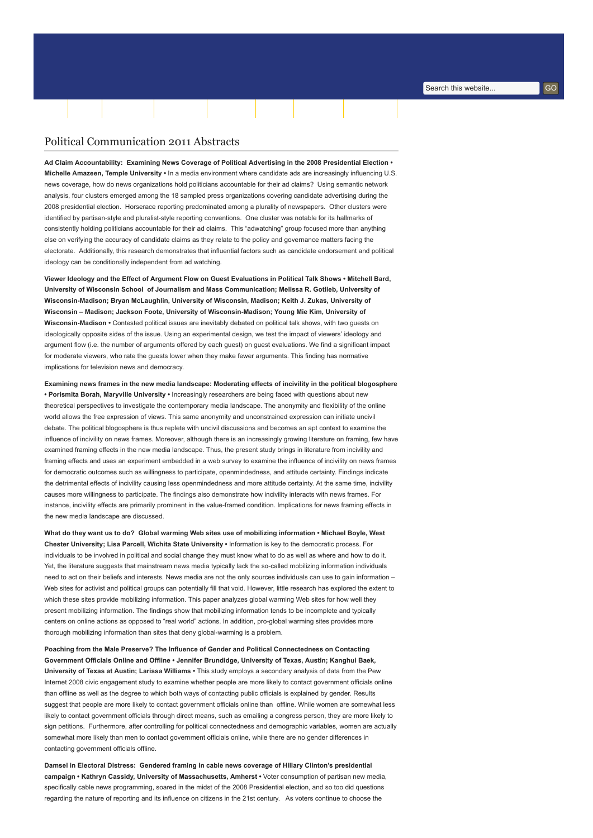## Political Communication 2011 Abstracts

Ad Claim Accountability: Examining News Coverage of Political Advertising in the 2008 Presidential Election • Michelle Amazeen, Temple University • In a media environment where candidate ads are increasingly influencing U.S. news coverage, how do news organizations hold politicians accountable for their ad claims? Using semantic network analysis, four clusters emerged among the 18 sampled press organizations covering candidate advertising during the 2008 presidential election. Horserace reporting predominated among a plurality of newspapers. Other clusters were identified by partisan-style and pluralist-style reporting conventions. One cluster was notable for its hallmarks of consistently holding politicians accountable for their ad claims. This "adwatching" group focused more than anything else on verifying the accuracy of candidate claims as they relate to the policy and governance matters facing the electorate. Additionally, this research demonstrates that influential factors such as candidate endorsement and political ideology can be conditionally independent from ad watching.

[Home](http://www.aejmc.org/home) [About](http://www.aejmc.org/home/about/) [Scholarship](http://www.aejmc.org/home/scholarship/) [Publications](http://www.aejmc.org/home/publications/) [Resources](http://www.aejmc.org/home/resources/) [Events](http://www.aejmc.org/home/events/) [Advertising](http://www.aejmc.org/home/advertising/) [Membership](http://www.aejmc.org/home/membership/) Tuesday, 2 January 2018

Viewer Ideology and the Effect of Argument Flow on Guest Evaluations in Political Talk Shows • Mitchell Bard, University of Wisconsin School of Journalism and Mass Communication; Melissa R. Gotlieb, University of Wisconsin-Madison; Bryan McLaughlin, University of Wisconsin, Madison; Keith J. Zukas, University of Wisconsin – Madison; Jackson Foote, University of Wisconsin-Madison; Young Mie Kim, University of Wisconsin-Madison • Contested political issues are inevitably debated on political talk shows, with two guests on ideologically opposite sides of the issue. Using an experimental design, we test the impact of viewers' ideology and argument flow (i.e. the number of arguments offered by each guest) on guest evaluations. We find a significant impact for moderate viewers, who rate the guests lower when they make fewer arguments. This finding has normative implications for television news and democracy.

Examining news frames in the new media landscape: Moderating effects of incivility in the political blogosphere • Porismita Borah, Maryville University • Increasingly researchers are being faced with questions about new theoretical perspectives to investigate the contemporary media landscape. The anonymity and flexibility of the online world allows the free expression of views. This same anonymity and unconstrained expression can initiate uncivil debate. The political blogosphere is thus replete with uncivil discussions and becomes an apt context to examine the influence of incivility on news frames. Moreover, although there is an increasingly growing literature on framing, few have examined framing effects in the new media landscape. Thus, the present study brings in literature from incivility and framing effects and uses an experiment embedded in a web survey to examine the influence of incivility on news frames for democratic outcomes such as willingness to participate, openmindedness, and attitude certainty. Findings indicate the detrimental effects of incivility causing less openmindedness and more attitude certainty. At the same time, incivility causes more willingness to participate. The findings also demonstrate how incivility interacts with news frames. For instance, incivility effects are primarily prominent in the value-framed condition. Implications for news framing effects in the new media landscape are discussed.

What do they want us to do? Global warming Web sites use of mobilizing information • Michael Boyle, West Chester University; Lisa Parcell, Wichita State University • Information is key to the democratic process. For individuals to be involved in political and social change they must know what to do as well as where and how to do it. Yet, the literature suggests that mainstream news media typically lack the so-called mobilizing information individuals need to act on their beliefs and interests. News media are not the only sources individuals can use to gain information – Web sites for activist and political groups can potentially fill that void. However, little research has explored the extent to which these sites provide mobilizing information. This paper analyzes global warming Web sites for how well they present mobilizing information. The findings show that mobilizing information tends to be incomplete and typically centers on online actions as opposed to "real world" actions. In addition, pro-global warming sites provides more thorough mobilizing information than sites that deny global-warming is a problem.

Poaching from the Male Preserve? The Influence of Gender and Political Connectedness on Contacting Government Officials Online and Offline • Jennifer Brundidge, University of Texas, Austin; Kanghui Baek, University of Texas at Austin; Larissa Williams • This study employs a secondary analysis of data from the Pew Internet 2008 civic engagement study to examine whether people are more likely to contact government officials online than offline as well as the degree to which both ways of contacting public officials is explained by gender. Results suggest that people are more likely to contact government officials online than offline. While women are somewhat less likely to contact government officials through direct means, such as emailing a congress person, they are more likely to sign petitions. Furthermore, after controlling for political connectedness and demographic variables, women are actually somewhat more likely than men to contact government officials online, while there are no gender differences in contacting government officials offline.

Damsel in Electoral Distress: Gendered framing in cable news coverage of Hillary Clinton's presidential campaign • Kathryn Cassidy, University of Massachusetts, Amherst • Voter consumption of partisan new media, specifically cable news programming, soared in the midst of the 2008 Presidential election, and so too did questions regarding the nature of reporting and its influence on citizens in the 21st century. As voters continue to choose the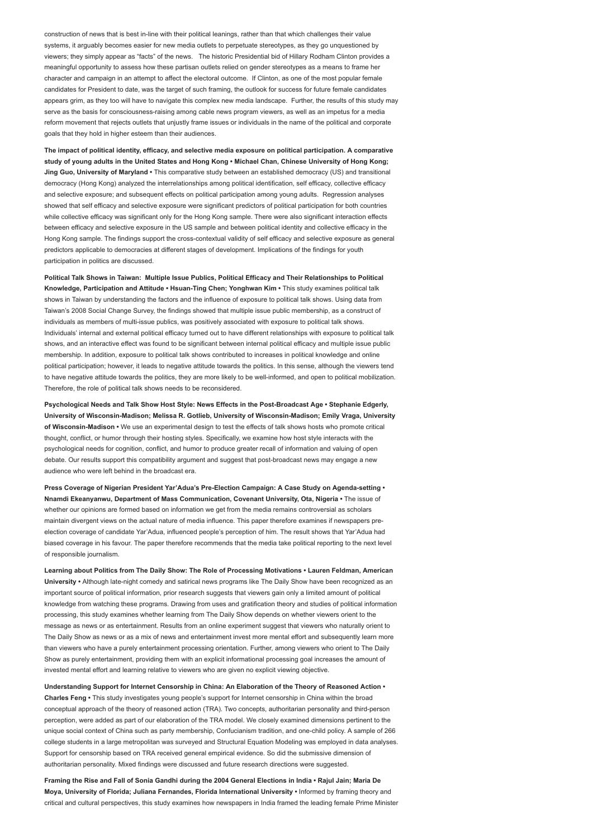construction of news that is best in-line with their political leanings, rather than that which challenges their value systems, it arguably becomes easier for new media outlets to perpetuate stereotypes, as they go unquestioned by viewers; they simply appear as "facts" of the news. The historic Presidential bid of Hillary Rodham Clinton provides a meaningful opportunity to assess how these partisan outlets relied on gender stereotypes as a means to frame her character and campaign in an attempt to affect the electoral outcome. If Clinton, as one of the most popular female candidates for President to date, was the target of such framing, the outlook for success for future female candidates appears grim, as they too will have to navigate this complex new media landscape. Further, the results of this study may serve as the basis for consciousness-raising among cable news program viewers, as well as an impetus for a media reform movement that rejects outlets that unjustly frame issues or individuals in the name of the political and corporate goals that they hold in higher esteem than their audiences.

The impact of political identity, efficacy, and selective media exposure on political participation. A comparative study of young adults in the United States and Hong Kong • Michael Chan, Chinese University of Hong Kong; Jing Guo, University of Maryland • This comparative study between an established democracy (US) and transitional democracy (Hong Kong) analyzed the interrelationships among political identification, self efficacy, collective efficacy and selective exposure; and subsequent effects on political participation among young adults. Regression analyses showed that self efficacy and selective exposure were significant predictors of political participation for both countries while collective efficacy was significant only for the Hong Kong sample. There were also significant interaction effects between efficacy and selective exposure in the US sample and between political identity and collective efficacy in the Hong Kong sample. The findings support the cross-contextual validity of self efficacy and selective exposure as general predictors applicable to democracies at different stages of development. Implications of the findings for youth participation in politics are discussed.

Political Talk Shows in Taiwan: Multiple Issue Publics, Political Efficacy and Their Relationships to Political Knowledge, Participation and Attitude • Hsuan-Ting Chen; Yonghwan Kim • This study examines political talk shows in Taiwan by understanding the factors and the influence of exposure to political talk shows. Using data from Taiwan's 2008 Social Change Survey, the findings showed that multiple issue public membership, as a construct of individuals as members of multi-issue publics, was positively associated with exposure to political talk shows. Individuals' internal and external political efficacy turned out to have different relationships with exposure to political talk shows, and an interactive effect was found to be significant between internal political efficacy and multiple issue public membership. In addition, exposure to political talk shows contributed to increases in political knowledge and online political participation; however, it leads to negative attitude towards the politics. In this sense, although the viewers tend to have negative attitude towards the politics, they are more likely to be well-informed, and open to political mobilization. Therefore, the role of political talk shows needs to be reconsidered.

Psychological Needs and Talk Show Host Style: News Effects in the Post-Broadcast Age • Stephanie Edgerly, University of Wisconsin-Madison; Melissa R. Gotlieb, University of Wisconsin-Madison; Emily Vraga, University of Wisconsin-Madison • We use an experimental design to test the effects of talk shows hosts who promote critical thought, conflict, or humor through their hosting styles. Specifically, we examine how host style interacts with the psychological needs for cognition, conflict, and humor to produce greater recall of information and valuing of open debate. Our results support this compatibility argument and suggest that post-broadcast news may engage a new audience who were left behind in the broadcast era.

Press Coverage of Nigerian President Yar'Adua's Pre-Election Campaign: A Case Study on Agenda-setting • Nnamdi Ekeanyanwu, Department of Mass Communication, Covenant University, Ota, Nigeria • The issue of whether our opinions are formed based on information we get from the media remains controversial as scholars maintain divergent views on the actual nature of media influence. This paper therefore examines if newspapers preelection coverage of candidate Yar'Adua, influenced people's perception of him. The result shows that Yar'Adua had biased coverage in his favour. The paper therefore recommends that the media take political reporting to the next level of responsible journalism.

Learning about Politics from The Daily Show: The Role of Processing Motivations • Lauren Feldman, American University • Although late-night comedy and satirical news programs like The Daily Show have been recognized as an important source of political information, prior research suggests that viewers gain only a limited amount of political knowledge from watching these programs. Drawing from uses and gratification theory and studies of political information processing, this study examines whether learning from The Daily Show depends on whether viewers orient to the message as news or as entertainment. Results from an online experiment suggest that viewers who naturally orient to The Daily Show as news or as a mix of news and entertainment invest more mental effort and subsequently learn more than viewers who have a purely entertainment processing orientation. Further, among viewers who orient to The Daily Show as purely entertainment, providing them with an explicit informational processing goal increases the amount of invested mental effort and learning relative to viewers who are given no explicit viewing objective.

Understanding Support for Internet Censorship in China: An Elaboration of the Theory of Reasoned Action • Charles Feng • This study investigates young people's support for Internet censorship in China within the broad conceptual approach of the theory of reasoned action (TRA). Two concepts, authoritarian personality and third-person perception, were added as part of our elaboration of the TRA model. We closely examined dimensions pertinent to the unique social context of China such as party membership, Confucianism tradition, and one-child policy. A sample of 266 college students in a large metropolitan was surveyed and Structural Equation Modeling was employed in data analyses. Support for censorship based on TRA received general empirical evidence. So did the submissive dimension of authoritarian personality. Mixed findings were discussed and future research directions were suggested.

Framing the Rise and Fall of Sonia Gandhi during the 2004 General Elections in India • Rajul Jain; Maria De Moya, University of Florida; Juliana Fernandes, Florida International University • Informed by framing theory and critical and cultural perspectives, this study examines how newspapers in India framed the leading female Prime Minister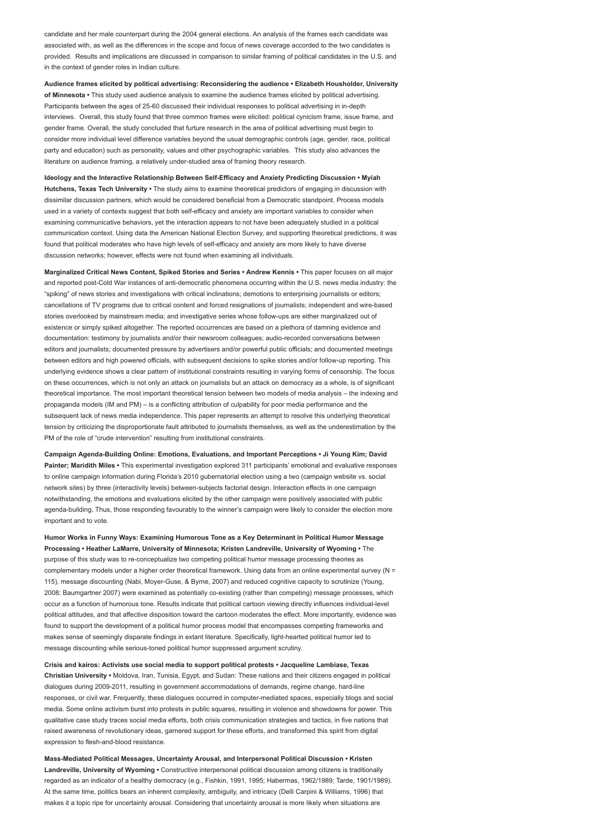candidate and her male counterpart during the 2004 general elections. An analysis of the frames each candidate was associated with, as well as the differences in the scope and focus of news coverage accorded to the two candidates is provided. Results and implications are discussed in comparison to similar framing of political candidates in the U.S. and in the context of gender roles in Indian culture.

Audience frames elicited by political advertising: Reconsidering the audience • Elizabeth Housholder, University of Minnesota • This study used audience analysis to examine the audience frames elicited by political advertising Participants between the ages of 25-60 discussed their individual responses to political advertising in in-depth interviews. Overall, this study found that three common frames were elicited: political cynicism frame, issue frame, and gender frame. Overall, the study concluded that furture research in the area of political advertising must begin to consider more individual level difference variables beyond the usual demographic controls (age, gender, race, political party and education) such as personality, values and other psychographic variables. This study also advances the literature on audience framing, a relatively under-studied area of framing theory research.

Ideology and the Interactive Relationship Between Self-Efficacy and Anxiety Predicting Discussion • Myiah Hutchens, Texas Tech University • The study aims to examine theoretical predictors of engaging in discussion with dissimilar discussion partners, which would be considered beneficial from a Democratic standpoint. Process models used in a variety of contexts suggest that both self-efficacy and anxiety are important variables to consider when examining communicative behaviors, yet the interaction appears to not have been adequately studied in a political communication context. Using data the American National Election Survey, and supporting theoretical predictions, it was found that political moderates who have high levels of self-efficacy and anxiety are more likely to have diverse discussion networks; however, effects were not found when examining all individuals.

Marginalized Critical News Content, Spiked Stories and Series • Andrew Kennis • This paper focuses on all major and reported post-Cold War instances of anti-democratic phenomena occurring within the U.S. news media industry: the "spiking" of news stories and investigations with critical inclinations; demotions to enterprising journalists or editors; cancellations of TV programs due to critical content and forced resignations of journalists; independent and wire-based stories overlooked by mainstream media; and investigative series whose follow-ups are either marginalized out of existence or simply spiked altogether. The reported occurrences are based on a plethora of damning evidence and documentation: testimony by journalists and/or their newsroom colleagues; audio-recorded conversations between editors and journalists; documented pressure by advertisers and/or powerful public officials; and documented meetings between editors and high powered officials, with subsequent decisions to spike stories and/or follow-up reporting. This underlying evidence shows a clear pattern of institutional constraints resulting in varying forms of censorship. The focus on these occurrences, which is not only an attack on journalists but an attack on democracy as a whole, is of significant theoretical importance. The most important theoretical tension between two models of media analysis – the indexing and propaganda models (IM and PM) – is a conflicting attribution of culpability for poor media performance and the subsequent lack of news media independence. This paper represents an attempt to resolve this underlying theoretical tension by criticizing the disproportionate fault attributed to journalists themselves, as well as the underestimation by the PM of the role of "crude intervention" resulting from institutional constraints.

Campaign Agenda-Building Online: Emotions, Evaluations, and Important Perceptions • Ji Young Kim; David Painter; Maridith Miles • This experimental investigation explored 311 participants' emotional and evaluative responses to online campaign information during Florida's 2010 gubernatorial election using a two (campaign website vs. social network sites) by three (interactivity levels) between-subjects factorial design. Interaction effects in one campaign notwithstanding, the emotions and evaluations elicited by the other campaign were positively associated with public agenda-building. Thus, those responding favourably to the winner's campaign were likely to consider the election more important and to vote.

Humor Works in Funny Ways: Examining Humorous Tone as a Key Determinant in Political Humor Message Processing • Heather LaMarre, University of Minnesota; Kristen Landreville, University of Wyoming • The purpose of this study was to re-conceptualize two competing political humor message processing theories as complementary models under a higher order theoretical framework. Using data from an online experimental survey (N = 115), message discounting (Nabi, Moyer-Guse, & Byrne, 2007) and reduced cognitive capacity to scrutinize (Young, 2008; Baumgartner 2007) were examined as potentially co-existing (rather than competing) message processes, which occur as a function of humorous tone. Results indicate that political cartoon viewing directly influences individual-level political attitudes, and that affective disposition toward the cartoon moderates the effect. More importantly, evidence was found to support the development of a political humor process model that encompasses competing frameworks and makes sense of seemingly disparate findings in extant literature. Specifically, light-hearted political humor led to message discounting while serious-toned political humor suppressed argument scrutiny.

Crisis and kairos: Activists use social media to support political protests • Jacqueline Lambiase, Texas Christian University • Moldova, Iran, Tunisia, Egypt, and Sudan: These nations and their citizens engaged in political dialogues during 2009-2011, resulting in government accommodations of demands, regime change, hard-line responses, or civil war. Frequently, these dialogues occurred in computer-mediated spaces, especially blogs and social media. Some online activism burst into protests in public squares, resulting in violence and showdowns for power. This qualitative case study traces social media efforts, both crisis communication strategies and tactics, in five nations that raised awareness of revolutionary ideas, garnered support for these efforts, and transformed this spirit from digital expression to flesh-and-blood resistance.

Mass-Mediated Political Messages, Uncertainty Arousal, and Interpersonal Political Discussion • Kristen Landreville, University of Wyoming • Constructive interpersonal political discussion among citizens is traditionally regarded as an indicator of a healthy democracy (e.g., Fishkin, 1991, 1995; Habermas, 1962/1989; Tarde, 1901/1989). At the same time, politics bears an inherent complexity, ambiguity, and intricacy (Delli Carpini & Williams, 1996) that makes it a topic ripe for uncertainty arousal. Considering that uncertainty arousal is more likely when situations are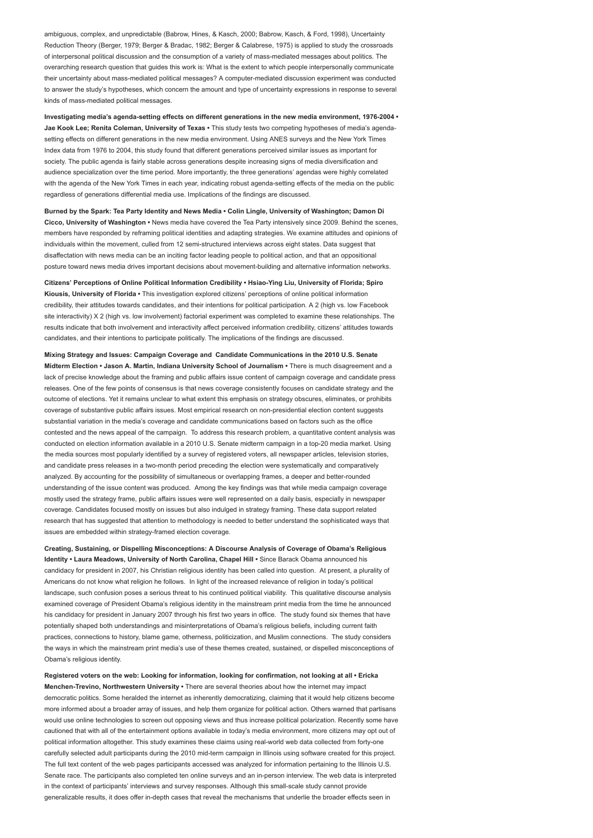ambiguous, complex, and unpredictable (Babrow, Hines, & Kasch, 2000; Babrow, Kasch, & Ford, 1998), Uncertainty Reduction Theory (Berger, 1979; Berger & Bradac, 1982; Berger & Calabrese, 1975) is applied to study the crossroads of interpersonal political discussion and the consumption of a variety of mass-mediated messages about politics. The overarching research question that guides this work is: What is the extent to which people interpersonally communicate their uncertainty about mass-mediated political messages? A computer-mediated discussion experiment was conducted to answer the study's hypotheses, which concern the amount and type of uncertainty expressions in response to several kinds of mass-mediated political messages.

Investigating media's agenda-setting effects on different generations in the new media environment, 1976-2004 • Jae Kook Lee; Renita Coleman, University of Texas · This study tests two competing hypotheses of media's agendasetting effects on different generations in the new media environment. Using ANES surveys and the New York Times Index data from 1976 to 2004, this study found that different generations perceived similar issues as important for society. The public agenda is fairly stable across generations despite increasing signs of media diversification and audience specialization over the time period. More importantly, the three generations' agendas were highly correlated with the agenda of the New York Times in each year, indicating robust agenda-setting effects of the media on the public regardless of generations differential media use. Implications of the findings are discussed.

Burned by the Spark: Tea Party Identity and News Media • Colin Lingle, University of Washington; Damon Di Cicco, University of Washington • News media have covered the Tea Party intensively since 2009. Behind the scenes, members have responded by reframing political identities and adapting strategies. We examine attitudes and opinions of individuals within the movement, culled from 12 semi-structured interviews across eight states. Data suggest that disaffectation with news media can be an inciting factor leading people to political action, and that an oppositional posture toward news media drives important decisions about movement-building and alternative information networks.

Citizens' Perceptions of Online Political Information Credibility • Hsiao-Ying Liu, University of Florida; Spiro Kiousis, University of Florida • This investigation explored citizens' perceptions of online political information credibility, their attitudes towards candidates, and their intentions for political participation. A 2 (high vs. low Facebook site interactivity) X 2 (high vs. low involvement) factorial experiment was completed to examine these relationships. The results indicate that both involvement and interactivity affect perceived information credibility, citizens' attitudes towards candidates, and their intentions to participate politically. The implications of the findings are discussed.

Mixing Strategy and Issues: Campaign Coverage and Candidate Communications in the 2010 U.S. Senate Midterm Election • Jason A. Martin, Indiana University School of Journalism • There is much disagreement and a lack of precise knowledge about the framing and public affairs issue content of campaign coverage and candidate press releases. One of the few points of consensus is that news coverage consistently focuses on candidate strategy and the outcome of elections. Yet it remains unclear to what extent this emphasis on strategy obscures, eliminates, or prohibits coverage of substantive public affairs issues. Most empirical research on non-presidential election content suggests substantial variation in the media's coverage and candidate communications based on factors such as the office contested and the news appeal of the campaign. To address this research problem, a quantitative content analysis was conducted on election information available in a 2010 U.S. Senate midterm campaign in a top-20 media market. Using the media sources most popularly identified by a survey of registered voters, all newspaper articles, television stories, and candidate press releases in a two-month period preceding the election were systematically and comparatively analyzed. By accounting for the possibility of simultaneous or overlapping frames, a deeper and better-rounded understanding of the issue content was produced. Among the key findings was that while media campaign coverage mostly used the strategy frame, public affairs issues were well represented on a daily basis, especially in newspaper coverage. Candidates focused mostly on issues but also indulged in strategy framing. These data support related research that has suggested that attention to methodology is needed to better understand the sophisticated ways that issues are embedded within strategy-framed election coverage.

Creating, Sustaining, or Dispelling Misconceptions: A Discourse Analysis of Coverage of Obama's Religious Identity • Laura Meadows, University of North Carolina, Chapel Hill • Since Barack Obama announced his candidacy for president in 2007, his Christian religious identity has been called into question. At present, a plurality of Americans do not know what religion he follows. In light of the increased relevance of religion in today's political landscape, such confusion poses a serious threat to his continued political viability. This qualitative discourse analysis examined coverage of President Obama's religious identity in the mainstream print media from the time he announced his candidacy for president in January 2007 through his first two years in office. The study found six themes that have potentially shaped both understandings and misinterpretations of Obama's religious beliefs, including current faith practices, connections to history, blame game, otherness, politicization, and Muslim connections. The study considers the ways in which the mainstream print media's use of these themes created, sustained, or dispelled misconceptions of Obama's religious identity.

Registered voters on the web: Looking for information, looking for confirmation, not looking at all • Ericka Menchen-Trevino, Northwestern University • There are several theories about how the internet may impact democratic politics. Some heralded the internet as inherently democratizing, claiming that it would help citizens become more informed about a broader array of issues, and help them organize for political action. Others warned that partisans would use online technologies to screen out opposing views and thus increase political polarization. Recently some have cautioned that with all of the entertainment options available in today's media environment, more citizens may opt out of political information altogether. This study examines these claims using real-world web data collected from forty-one carefully selected adult participants during the 2010 mid-term campaign in Illinois using software created for this project. The full text content of the web pages participants accessed was analyzed for information pertaining to the Illinois U.S. Senate race. The participants also completed ten online surveys and an in-person interview. The web data is interpreted in the context of participants' interviews and survey responses. Although this small-scale study cannot provide generalizable results, it does offer in-depth cases that reveal the mechanisms that underlie the broader effects seen in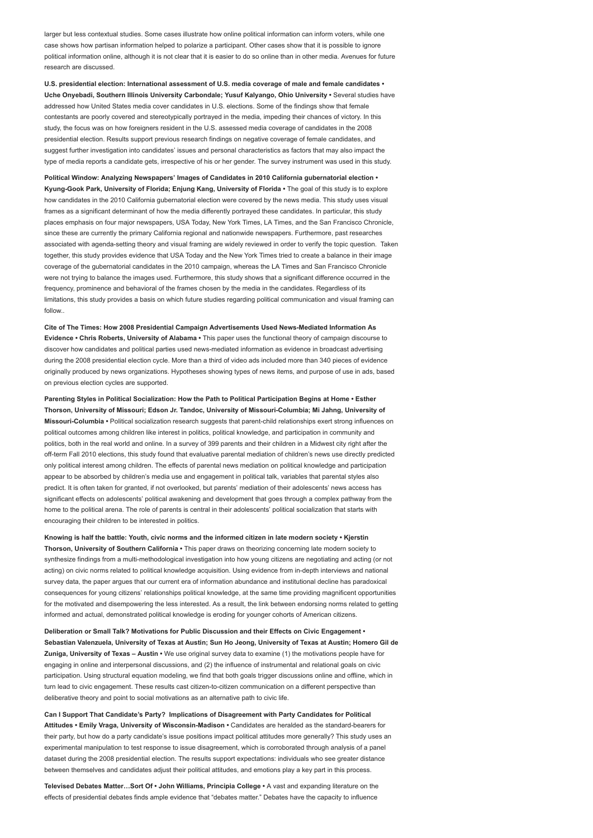larger but less contextual studies. Some cases illustrate how online political information can inform voters, while one case shows how partisan information helped to polarize a participant. Other cases show that it is possible to ignore political information online, although it is not clear that it is easier to do so online than in other media. Avenues for future research are discussed.

U.S. presidential election: International assessment of U.S. media coverage of male and female candidates • Uche Onyebadi, Southern Illinois University Carbondale; Yusuf Kalyango, Ohio University • Several studies have addressed how United States media cover candidates in U.S. elections. Some of the findings show that female contestants are poorly covered and stereotypically portrayed in the media, impeding their chances of victory. In this study, the focus was on how foreigners resident in the U.S. assessed media coverage of candidates in the 2008 presidential election. Results support previous research findings on negative coverage of female candidates, and suggest further investigation into candidates' issues and personal characteristics as factors that may also impact the type of media reports a candidate gets, irrespective of his or her gender. The survey instrument was used in this study.

Political Window: Analyzing Newspapers' Images of Candidates in 2010 California gubernatorial election • Kyung-Gook Park, University of Florida; Enjung Kang, University of Florida • The goal of this study is to explore how candidates in the 2010 California gubernatorial election were covered by the news media. This study uses visual frames as a significant determinant of how the media differently portrayed these candidates. In particular, this study places emphasis on four major newspapers, USA Today, New York Times, LA Times, and the San Francisco Chronicle, since these are currently the primary California regional and nationwide newspapers. Furthermore, past researches associated with agenda-setting theory and visual framing are widely reviewed in order to verify the topic question. Taken together, this study provides evidence that USA Today and the New York Times tried to create a balance in their image coverage of the gubernatorial candidates in the 2010 campaign, whereas the LA Times and San Francisco Chronicle were not trying to balance the images used. Furthermore, this study shows that a significant difference occurred in the frequency, prominence and behavioral of the frames chosen by the media in the candidates. Regardless of its limitations, this study provides a basis on which future studies regarding political communication and visual framing can follow

Cite of The Times: How 2008 Presidential Campaign Advertisements Used News-Mediated Information As Evidence • Chris Roberts, University of Alabama • This paper uses the functional theory of campaign discourse to discover how candidates and political parties used news-mediated information as evidence in broadcast advertising during the 2008 presidential election cycle. More than a third of video ads included more than 340 pieces of evidence originally produced by news organizations. Hypotheses showing types of news items, and purpose of use in ads, based on previous election cycles are supported.

Parenting Styles in Political Socialization: How the Path to Political Participation Begins at Home • Esther Thorson, University of Missouri; Edson Jr. Tandoc, University of Missouri-Columbia; Mi Jahng, University of Missouri-Columbia • Political socialization research suggests that parent-child relationships exert strong influences on political outcomes among children like interest in politics, political knowledge, and participation in community and politics, both in the real world and online. In a survey of 399 parents and their children in a Midwest city right after the off-term Fall 2010 elections, this study found that evaluative parental mediation of children's news use directly predicted only political interest among children. The effects of parental news mediation on political knowledge and participation appear to be absorbed by children's media use and engagement in political talk, variables that parental styles also predict. It is often taken for granted, if not overlooked, but parents' mediation of their adolescents' news access has significant effects on adolescents' political awakening and development that goes through a complex pathway from the home to the political arena. The role of parents is central in their adolescents' political socialization that starts with encouraging their children to be interested in politics.

Knowing is half the battle: Youth, civic norms and the informed citizen in late modern society • Kjerstin Thorson, University of Southern California • This paper draws on theorizing concerning late modern society to synthesize findings from a multi-methodological investigation into how young citizens are negotiating and acting (or not acting) on civic norms related to political knowledge acquisition. Using evidence from in-depth interviews and national survey data, the paper argues that our current era of information abundance and institutional decline has paradoxical consequences for young citizens' relationships political knowledge, at the same time providing magnificent opportunities for the motivated and disempowering the less interested. As a result, the link between endorsing norms related to getting informed and actual, demonstrated political knowledge is eroding for younger cohorts of American citizens.

Deliberation or Small Talk? Motivations for Public Discussion and their Effects on Civic Engagement • Sebastian Valenzuela, University of Texas at Austin; Sun Ho Jeong, University of Texas at Austin; Homero Gil de Zuniga, University of Texas – Austin • We use original survey data to examine (1) the motivations people have for engaging in online and interpersonal discussions, and (2) the influence of instrumental and relational goals on civic participation. Using structural equation modeling, we find that both goals trigger discussions online and offline, which in turn lead to civic engagement. These results cast citizen-to-citizen communication on a different perspective than deliberative theory and point to social motivations as an alternative path to civic life.

Can I Support That Candidate's Party? Implications of Disagreement with Party Candidates for Political Attitudes • Emily Vraga, University of Wisconsin-Madison • Candidates are heralded as the standard-bearers for their party, but how do a party candidate's issue positions impact political attitudes more generally? This study uses an experimental manipulation to test response to issue disagreement, which is corroborated through analysis of a panel dataset during the 2008 presidential election. The results support expectations: individuals who see greater distance between themselves and candidates adjust their political attitudes, and emotions play a key part in this process.

Televised Debates Matter…Sort Of • John Williams, Principia College • A vast and expanding literature on the effects of presidential debates finds ample evidence that "debates matter." Debates have the capacity to influence